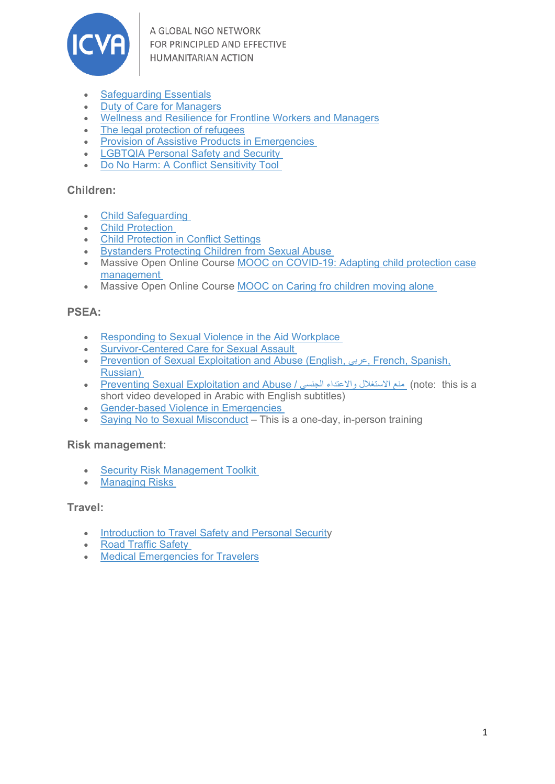

A GLOBAL NGO NETWORK FOR PRINCIPLED AND EFFECTIVE **HUMANITARIAN ACTION** 

- [Safeguarding Essentials](https://kayaconnect.org/course/info.php?id=1424)
- [Duty of Care for Managers](https://get.disasterready.org/duty-of-care-for-managers/)
- [Wellness and Resilience for Frontline Workers and Managers](https://kayaconnect.org/course/view.php?id=746)
- [The legal protection of refugees](https://kayaconnect.org/course/info.php?id=703)
- [Provision of Assistive Products in Emergencies](https://get.disasterready.org/how-to-deliver-assistive-products-in-emergencies/)
- [LGBTQIA Personal Safety and Security](https://ready.csod.com/ui/lms-learning-details/app/course/e2153208-689b-4a59-b9a1-df2702469a50)
- [Do No Harm: A Conflict Sensitivity Tool](https://ready.csod.com/ui/lms-learning-details/app/course/f0093d5f-ff41-41d1-a473-6b96274fb709)

#### **Children:**

- [Child Safeguarding](https://ready.csod.com/ui/lms-learning-details/app/video/b0086177-a589-44bb-ae83-219d02db4303)
- [Child Protection](https://ready.csod.com/ui/lms-learning-details/app/video/168a581e-29e6-43c8-8c22-1812c220d4ff)
- [Child Protection in Conflict Settings](https://kayaconnect.org/course/view.php?id=786)
- [Bystanders Protecting Children from Sexual Abuse](https://get.disasterready.org/protecting-children-from-sexual-abuse/)
- Massive Open Online Course MOOC on [COVID-19: Adapting child protection case](http://www.covid19-childprotectioncasemanagementmooc.com/index.php/en/)  [management](http://www.covid19-childprotectioncasemanagementmooc.com/index.php/en/)
- Massive Open Online Course [MOOC on Caring fro children moving alone](http://www.childrenonthemovemooc.com/index.php/en/)

## **PSEA:**

- [Responding to Sexual Violence in the Aid Workplace](https://get.disasterready.org/responding-to-sexual-violence/)
- [Survivor-Centered Care for Sexual Assault](https://get.disasterready.org/survivor-centered-care-for-sexual-assault/)
- [Prevention of Sexual Exploitation and Abuse \(English,](https://ready.csod.com/ui/lms-learning-details/app/course/3bdfa635-2810-4d53-8ecd-a27f883dd31b) عربى, French, Spanish, [Russian\)](https://ready.csod.com/ui/lms-learning-details/app/course/3bdfa635-2810-4d53-8ecd-a27f883dd31b)
- [Preventing Sexual Exploitation and Abuse /](https://ready.csod.com/ui/lms-learning-details/app/video/920e8170-da64-491b-9676-e9a3bd889f40) الجنسي والاعتداء الاستغلال منع) note: this is a short video developed in Arabic with English subtitles)
- [Gender-based Violence in Emergencies](https://ready.csod.com/ui/lms-learning-details/app/video/ad9fe31a-0e57-49ad-8b43-2ecae822f31e)
- [Saying No to Sexual Misconduct](https://interagencystandingcommittee.org/iasc-learning-package-protection-sexual-misconduct-un-partner-organizations) This is a one-day, in-person training

## **Risk management:**

- [Security Risk Management Toolkit](https://www.disasterready.org/security-risk-management-toolkit)
- [Managing Risks](https://get.disasterready.org/how-to-manage-risks-in-the-humanitarian-sector/)

#### **Travel:**

- [Introduction to Travel Safety and Personal Security](https://www.disasterready.org/travel-safety-security)
- [Road Traffic Safety](https://get.disasterready.org/road-traffic-safety/)
- [Medical Emergencies for Travelers](https://get.disasterready.org/medical-emergency-management/)